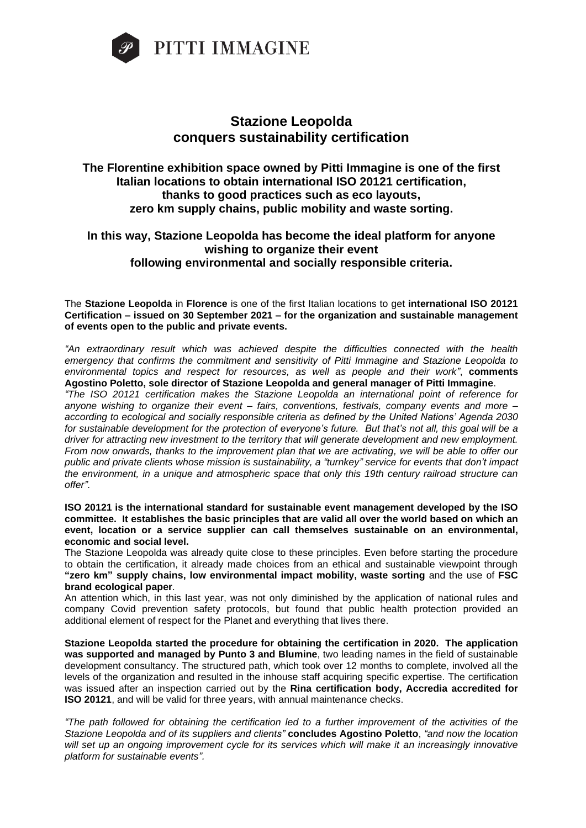

## **Stazione Leopolda conquers sustainability certification**

## **The Florentine exhibition space owned by Pitti Immagine is one of the first Italian locations to obtain international ISO 20121 certification, thanks to good practices such as eco layouts, zero km supply chains, public mobility and waste sorting.**

## **In this way, Stazione Leopolda has become the ideal platform for anyone wishing to organize their event following environmental and socially responsible criteria.**

The **Stazione Leopolda** in **Florence** is one of the first Italian locations to get **international ISO 20121 Certification – issued on 30 September 2021 – for the organization and sustainable management of events open to the public and private events.**

*"An extraordinary result which was achieved despite the difficulties connected with the health emergency that confirms the commitment and sensitivity of Pitti Immagine and Stazione Leopolda to environmental topics and respect for resources, as well as people and their work"*, **comments Agostino Poletto, sole director of Stazione Leopolda and general manager of Pitti Immagine**.

*"The ISO 20121 certification makes the Stazione Leopolda an international point of reference for anyone wishing to organize their event – fairs, conventions, festivals, company events and more – according to ecological and socially responsible criteria as defined by the United Nations' Agenda 2030 for sustainable development for the protection of everyone's future. But that's not all, this goal will be a driver for attracting new investment to the territory that will generate development and new employment. From now onwards, thanks to the improvement plan that we are activating, we will be able to offer our public and private clients whose mission is sustainability, a "turnkey" service for events that don't impact the environment, in a unique and atmospheric space that only this 19th century railroad structure can offer".* 

**ISO 20121 is the international standard for sustainable event management developed by the ISO committee. It establishes the basic principles that are valid all over the world based on which an event, location or a service supplier can call themselves sustainable on an environmental, economic and social level.** 

The Stazione Leopolda was already quite close to these principles. Even before starting the procedure to obtain the certification, it already made choices from an ethical and sustainable viewpoint through **"zero km" supply chains, low environmental impact mobility, waste sorting** and the use of **FSC brand ecological paper**.

An attention which, in this last year, was not only diminished by the application of national rules and company Covid prevention safety protocols, but found that public health protection provided an additional element of respect for the Planet and everything that lives there.

**Stazione Leopolda started the procedure for obtaining the certification in 2020. The application was supported and managed by Punto 3 and Blumine**, two leading names in the field of sustainable development consultancy. The structured path, which took over 12 months to complete, involved all the levels of the organization and resulted in the inhouse staff acquiring specific expertise. The certification was issued after an inspection carried out by the **Rina certification body, Accredia accredited for ISO 20121**, and will be valid for three years, with annual maintenance checks.

*"The path followed for obtaining the certification led to a further improvement of the activities of the Stazione Leopolda and of its suppliers and clients"* **concludes Agostino Poletto**, *"and now the location will set up an ongoing improvement cycle for its services which will make it an increasingly innovative platform for sustainable events".*